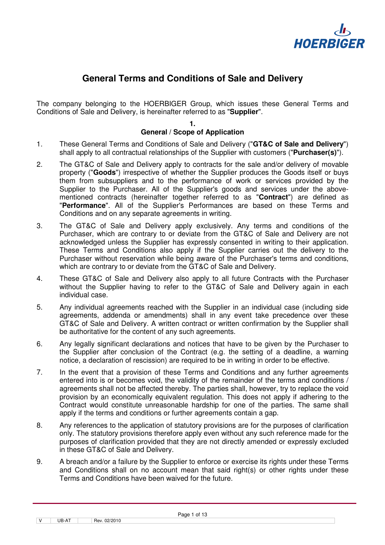

# **General Terms and Conditions of Sale and Delivery**

The company belonging to the HOERBIGER Group, which issues these General Terms and Conditions of Sale and Delivery, is hereinafter referred to as "**Supplier**".

**1.** 

# **General / Scope of Application**

- 1. These General Terms and Conditions of Sale and Delivery ("**GT&C of Sale and Delivery**") shall apply to all contractual relationships of the Supplier with customers ("**Purchaser(s)**").
- 2. The GT&C of Sale and Delivery apply to contracts for the sale and/or delivery of movable property ("**Goods**") irrespective of whether the Supplier produces the Goods itself or buys them from subsuppliers and to the performance of work or services provided by the Supplier to the Purchaser. All of the Supplier's goods and services under the abovementioned contracts (hereinafter together referred to as "**Contract**") are defined as "**Performance**". All of the Supplier's Performances are based on these Terms and Conditions and on any separate agreements in writing.
- 3. The GT&C of Sale and Delivery apply exclusively. Any terms and conditions of the Purchaser, which are contrary to or deviate from the GT&C of Sale and Delivery are not acknowledged unless the Supplier has expressly consented in writing to their application. These Terms and Conditions also apply if the Supplier carries out the delivery to the Purchaser without reservation while being aware of the Purchaser's terms and conditions, which are contrary to or deviate from the GT&C of Sale and Delivery.
- 4. These GT&C of Sale and Delivery also apply to all future Contracts with the Purchaser without the Supplier having to refer to the GT&C of Sale and Delivery again in each individual case.
- 5. Any individual agreements reached with the Supplier in an individual case (including side agreements, addenda or amendments) shall in any event take precedence over these GT&C of Sale and Delivery. A written contract or written confirmation by the Supplier shall be authoritative for the content of any such agreements.
- 6. Any legally significant declarations and notices that have to be given by the Purchaser to the Supplier after conclusion of the Contract (e.g. the setting of a deadline, a warning notice, a declaration of rescission) are required to be in writing in order to be effective.
- 7. In the event that a provision of these Terms and Conditions and any further agreements entered into is or becomes void, the validity of the remainder of the terms and conditions / agreements shall not be affected thereby. The parties shall, however, try to replace the void provision by an economically equivalent regulation. This does not apply if adhering to the Contract would constitute unreasonable hardship for one of the parties. The same shall apply if the terms and conditions or further agreements contain a gap.
- 8. Any references to the application of statutory provisions are for the purposes of clarification only. The statutory provisions therefore apply even without any such reference made for the purposes of clarification provided that they are not directly amended or expressly excluded in these GT&C of Sale and Delivery.
- 9. A breach and/or a failure by the Supplier to enforce or exercise its rights under these Terms and Conditions shall on no account mean that said right(s) or other rights under these Terms and Conditions have been waived for the future.

 $\boxed{V}$  UB-AT  $\boxed{$  Rev. 02/2010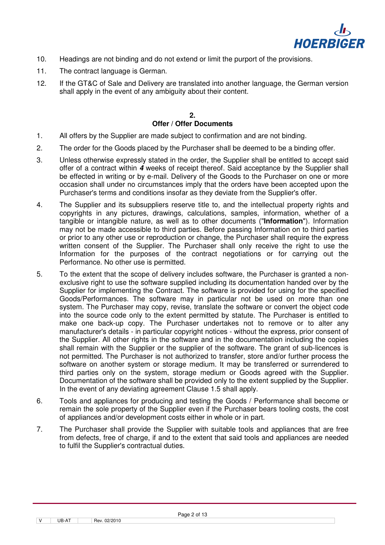

- 10. Headings are not binding and do not extend or limit the purport of the provisions.
- 11. The contract language is German.
- 12. If the GT&C of Sale and Delivery are translated into another language, the German version shall apply in the event of any ambiguity about their content.

#### $\mathbf{r}$ **Offer / Offer Documents**

- 1. All offers by the Supplier are made subject to confirmation and are not binding.
- 2. The order for the Goods placed by the Purchaser shall be deemed to be a binding offer.
- 3. Unless otherwise expressly stated in the order, the Supplier shall be entitled to accept said offer of a contract within **4** weeks of receipt thereof. Said acceptance by the Supplier shall be effected in writing or by e-mail. Delivery of the Goods to the Purchaser on one or more occasion shall under no circumstances imply that the orders have been accepted upon the Purchaser's terms and conditions insofar as they deviate from the Supplier's offer.
- 4. The Supplier and its subsuppliers reserve title to, and the intellectual property rights and copyrights in any pictures, drawings, calculations, samples, information, whether of a tangible or intangible nature, as well as to other documents ("**Information**"). Information may not be made accessible to third parties. Before passing Information on to third parties or prior to any other use or reproduction or change, the Purchaser shall require the express written consent of the Supplier. The Purchaser shall only receive the right to use the Information for the purposes of the contract negotiations or for carrying out the Performance. No other use is permitted.
- 5. To the extent that the scope of delivery includes software, the Purchaser is granted a nonexclusive right to use the software supplied including its documentation handed over by the Supplier for implementing the Contract. The software is provided for using for the specified Goods/Performances. The software may in particular not be used on more than one system. The Purchaser may copy, revise, translate the software or convert the object code into the source code only to the extent permitted by statute. The Purchaser is entitled to make one back-up copy. The Purchaser undertakes not to remove or to alter any manufacturer's details - in particular copyright notices - without the express, prior consent of the Supplier. All other rights in the software and in the documentation including the copies shall remain with the Supplier or the supplier of the software. The grant of sub-licences is not permitted. The Purchaser is not authorized to transfer, store and/or further process the software on another system or storage medium. It may be transferred or surrendered to third parties only on the system, storage medium or Goods agreed with the Supplier. Documentation of the software shall be provided only to the extent supplied by the Supplier. In the event of any deviating agreement Clause 1.5 shall apply.
- 6. Tools and appliances for producing and testing the Goods / Performance shall become or remain the sole property of the Supplier even if the Purchaser bears tooling costs, the cost of appliances and/or development costs either in whole or in part.
- 7. The Purchaser shall provide the Supplier with suitable tools and appliances that are free from defects, free of charge, if and to the extent that said tools and appliances are needed to fulfil the Supplier's contractual duties.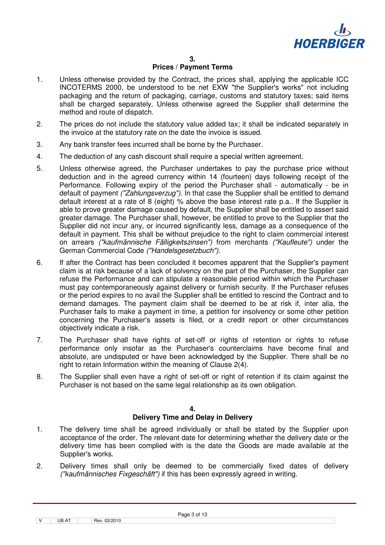

#### **Prices / Payment Terms**

- 1. Unless otherwise provided by the Contract, the prices shall, applying the applicable ICC INCOTERMS 2000, be understood to be net EXW "the Supplier's works" not including packaging and the return of packaging, carriage, customs and statutory taxes; said items shall be charged separately. Unless otherwise agreed the Supplier shall determine the method and route of dispatch.
- 2. The prices do not include the statutory value added tax; it shall be indicated separately in the invoice at the statutory rate on the date the invoice is issued.
- 3. Any bank transfer fees incurred shall be borne by the Purchaser.
- 4. The deduction of any cash discount shall require a special written agreement.
- 5. Unless otherwise agreed, the Purchaser undertakes to pay the purchase price without deduction and in the agreed currency within 14 (fourteen) days following receipt of the Performance. Following expiry of the period the Purchaser shall - automatically - be in default of payment *("Zahlungsverzug"*). In that case the Supplier shall be entitled to demand default interest at a rate of 8 (eight) % above the base interest rate p.a.. If the Supplier is able to prove greater damage caused by default, the Supplier shall be entitled to assert said greater damage. The Purchaser shall, however, be entitled to prove to the Supplier that the Supplier did not incur any, or incurred significantly less, damage as a consequence of the default in payment. This shall be without prejudice to the right to claim commercial interest on arrears ("kaufmännische Fälligkeitszinsen") from merchants ("Kaufleute") under the German Commercial Code ("Handelsgesetzbuch").
- 6. If after the Contract has been concluded it becomes apparent that the Supplier's payment claim is at risk because of a lack of solvency on the part of the Purchaser, the Supplier can refuse the Performance and can stipulate a reasonable period within which the Purchaser must pay contemporaneously against delivery or furnish security. If the Purchaser refuses or the period expires to no avail the Supplier shall be entitled to rescind the Contract and to demand damages. The payment claim shall be deemed to be at risk if, inter alia, the Purchaser fails to make a payment in time, a petition for insolvency or some other petition concerning the Purchaser's assets is filed, or a credit report or other circumstances objectively indicate a risk.
- 7. The Purchaser shall have rights of set-off or rights of retention or rights to refuse performance only insofar as the Purchaser's counterclaims have become final and absolute, are undisputed or have been acknowledged by the Supplier. There shall be no right to retain Information within the meaning of Clause 2(4).
- 8. The Supplier shall even have a right of set-off or right of retention if its claim against the Purchaser is not based on the same legal relationship as its own obligation.

#### **4.**

#### **Delivery Time and Delay in Delivery**

- 1. The delivery time shall be agreed individually or shall be stated by the Supplier upon acceptance of the order. The relevant date for determining whether the delivery date or the delivery time has been complied with is the date the Goods are made available at the Supplier's works.
- 2. Delivery times shall only be deemed to be commercially fixed dates of delivery ("kaufmännisches Fixgeschäft") if this has been expressly agreed in writing.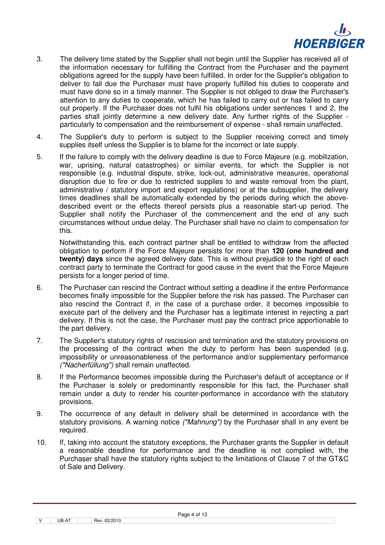

- 3. The delivery time stated by the Supplier shall not begin until the Supplier has received all of the information necessary for fulfilling the Contract from the Purchaser and the payment obligations agreed for the supply have been fulfilled. In order for the Supplier's obligation to deliver to fall due the Purchaser must have properly fulfilled his duties to cooperate and must have done so in a timely manner. The Supplier is not obliged to draw the Purchaser's attention to any duties to cooperate, which he has failed to carry out or has failed to carry out properly. If the Purchaser does not fulfil his obligations under sentences 1 and 2, the parties shall jointly determine a new delivery date. Any further rights of the Supplier particularly to compensation and the reimbursement of expense - shall remain unaffected.
- 4. The Supplier's duty to perform is subject to the Supplier receiving correct and timely supplies itself unless the Supplier is to blame for the incorrect or late supply.
- 5. If the failure to comply with the delivery deadline is due to Force Majeure (e.g. mobilization, war, uprising, natural catastrophes) or similar events, for which the Supplier is not responsible (e.g. industrial dispute, strike, lock-out, administrative measures, operational disruption due to fire or due to restricted supplies to and waste removal from the plant, administrative / statutory import and export regulations) or at the subsupplier, the delivery times deadlines shall be automatically extended by the periods during which the abovedescribed event or the effects thereof persists plus a reasonable start-up period. The Supplier shall notify the Purchaser of the commencement and the end of any such circumstances without undue delay. The Purchaser shall have no claim to compensation for this.

 Notwithstanding this, each contract partner shall be entitled to withdraw from the affected obligation to perform if the Force Majeure persists for more than **120 (one hundred and twenty) days** since the agreed delivery date. This is without prejudice to the right of each contract party to terminate the Contract for good cause in the event that the Force Majeure persists for a longer period of time.

- 6. The Purchaser can rescind the Contract without setting a deadline if the entire Performance becomes finally impossible for the Supplier before the risk has passed. The Purchaser can also rescind the Contract if, in the case of a purchase order, it becomes impossible to execute part of the delivery and the Purchaser has a legitimate interest in rejecting a part delivery. If this is not the case, the Purchaser must pay the contract price apportionable to the part delivery.
- 7. The Supplier's statutory rights of rescission and termination and the statutory provisions on the processing of the contract when the duty to perform has been suspended (e.g. impossibility or unreasonableness of the performance and/or supplementary performance ("Nacherfüllung") shall remain unaffected.
- 8. If the Performance becomes impossible during the Purchaser's default of acceptance or if the Purchaser is solely or predominantly responsible for this fact, the Purchaser shall remain under a duty to render his counter-performance in accordance with the statutory provisions.
- 9. The occurrence of any default in delivery shall be determined in accordance with the statutory provisions. A warning notice ("Mahnung") by the Purchaser shall in any event be required.
- 10. If, taking into account the statutory exceptions, the Purchaser grants the Supplier in default a reasonable deadline for performance and the deadline is not complied with, the Purchaser shall have the statutory rights subject to the limitations of Clause 7 of the GT&C of Sale and Delivery.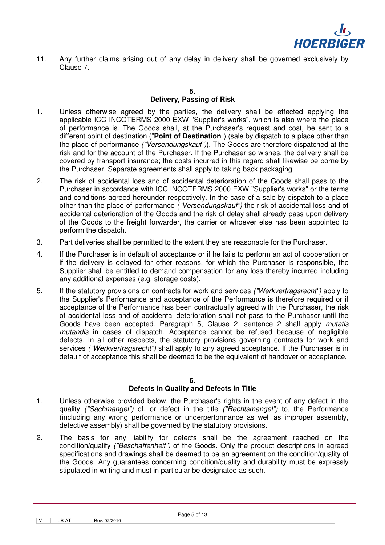

11. Any further claims arising out of any delay in delivery shall be governed exclusively by Clause 7.

#### **5. Delivery, Passing of Risk**

- 1. Unless otherwise agreed by the parties, the delivery shall be effected applying the applicable ICC INCOTERMS 2000 EXW "Supplier's works", which is also where the place of performance is. The Goods shall, at the Purchaser's request and cost, be sent to a different point of destination ("**Point of Destination**") (sale by dispatch to a place other than the place of performance ("Versendungskauf")). The Goods are therefore dispatched at the risk and for the account of the Purchaser. If the Purchaser so wishes, the delivery shall be covered by transport insurance; the costs incurred in this regard shall likewise be borne by the Purchaser. Separate agreements shall apply to taking back packaging.
- 2. The risk of accidental loss and of accidental deterioration of the Goods shall pass to the Purchaser in accordance with ICC INCOTERMS 2000 EXW "Supplier's works" or the terms and conditions agreed hereunder respectively. In the case of a sale by dispatch to a place other than the place of performance ("Versendungskauf") the risk of accidental loss and of accidental deterioration of the Goods and the risk of delay shall already pass upon delivery of the Goods to the freight forwarder, the carrier or whoever else has been appointed to perform the dispatch.
- 3. Part deliveries shall be permitted to the extent they are reasonable for the Purchaser.
- 4. If the Purchaser is in default of acceptance or if he fails to perform an act of cooperation or if the delivery is delayed for other reasons, for which the Purchaser is responsible, the Supplier shall be entitled to demand compensation for any loss thereby incurred including any additional expenses (e.g. storage costs).
- 5. If the statutory provisions on contracts for work and services ("Werkvertragsrecht") apply to the Supplier's Performance and acceptance of the Performance is therefore required or if acceptance of the Performance has been contractually agreed with the Purchaser, the risk of accidental loss and of accidental deterioration shall not pass to the Purchaser until the Goods have been accepted. Paragraph 5, Clause 2, sentence 2 shall apply mutatis mutandis in cases of dispatch. Acceptance cannot be refused because of negligible defects. In all other respects, the statutory provisions governing contracts for work and services ("Werkvertragsrecht") shall apply to any agreed acceptance. If the Purchaser is in default of acceptance this shall be deemed to be the equivalent of handover or acceptance.

#### **6.**

#### **Defects in Quality and Defects in Title**

- 1. Unless otherwise provided below, the Purchaser's rights in the event of any defect in the quality ("Sachmangel") of, or defect in the title ("Rechtsmangel") to, the Performance (including any wrong performance or underperformance as well as improper assembly, defective assembly) shall be governed by the statutory provisions.
- 2. The basis for any liability for defects shall be the agreement reached on the condition/quality ("Beschaffenheit") of the Goods. Only the product descriptions in agreed specifications and drawings shall be deemed to be an agreement on the condition/quality of the Goods. Any guarantees concerning condition/quality and durability must be expressly stipulated in writing and must in particular be designated as such.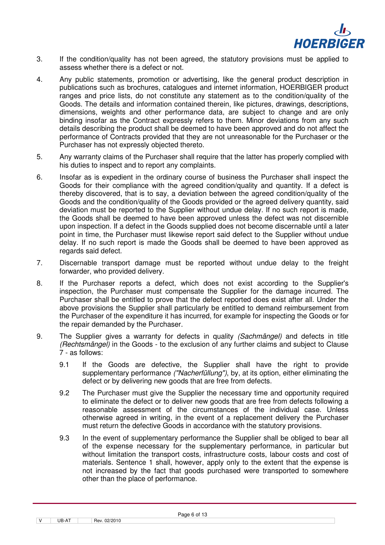

- 3. If the condition/quality has not been agreed, the statutory provisions must be applied to assess whether there is a defect or not.
- 4. Any public statements, promotion or advertising, like the general product description in publications such as brochures, catalogues and internet information, HOERBIGER product ranges and price lists, do not constitute any statement as to the condition/quality of the Goods. The details and information contained therein, like pictures, drawings, descriptions, dimensions, weights and other performance data, are subject to change and are only binding insofar as the Contract expressly refers to them. Minor deviations from any such details describing the product shall be deemed to have been approved and do not affect the performance of Contracts provided that they are not unreasonable for the Purchaser or the Purchaser has not expressly objected thereto.
- 5. Any warranty claims of the Purchaser shall require that the latter has properly complied with his duties to inspect and to report any complaints.
- 6. Insofar as is expedient in the ordinary course of business the Purchaser shall inspect the Goods for their compliance with the agreed condition/quality and quantity. If a defect is thereby discovered, that is to say, a deviation between the agreed condition/quality of the Goods and the condition/quality of the Goods provided or the agreed delivery quantity, said deviation must be reported to the Supplier without undue delay. If no such report is made, the Goods shall be deemed to have been approved unless the defect was not discernible upon inspection. If a defect in the Goods supplied does not become discernable until a later point in time, the Purchaser must likewise report said defect to the Supplier without undue delay. If no such report is made the Goods shall be deemed to have been approved as regards said defect.
- 7. Discernable transport damage must be reported without undue delay to the freight forwarder, who provided delivery.
- 8. If the Purchaser reports a defect, which does not exist according to the Supplier's inspection, the Purchaser must compensate the Supplier for the damage incurred. The Purchaser shall be entitled to prove that the defect reported does exist after all. Under the above provisions the Supplier shall particularly be entitled to demand reimbursement from the Purchaser of the expenditure it has incurred, for example for inspecting the Goods or for the repair demanded by the Purchaser.
- 9. The Supplier gives a warranty for defects in quality (Sachmängel) and defects in title (Rechtsmängel) in the Goods - to the exclusion of any further claims and subject to Clause 7 - as follows:
	- 9.1 If the Goods are defective, the Supplier shall have the right to provide supplementary performance ("Nacherfüllung"), by, at its option, either eliminating the defect or by delivering new goods that are free from defects.
	- 9.2 The Purchaser must give the Supplier the necessary time and opportunity required to eliminate the defect or to deliver new goods that are free from defects following a reasonable assessment of the circumstances of the individual case. Unless otherwise agreed in writing, in the event of a replacement delivery the Purchaser must return the defective Goods in accordance with the statutory provisions.
	- 9.3 In the event of supplementary performance the Supplier shall be obliged to bear all of the expense necessary for the supplementary performance, in particular but without limitation the transport costs, infrastructure costs, labour costs and cost of materials. Sentence 1 shall, however, apply only to the extent that the expense is not increased by the fact that goods purchased were transported to somewhere other than the place of performance.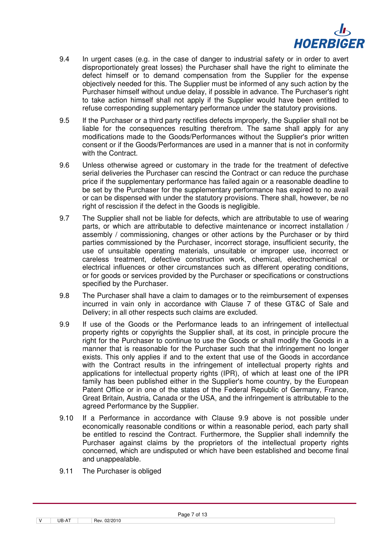

- 9.4 In urgent cases (e.g. in the case of danger to industrial safety or in order to avert disproportionately great losses) the Purchaser shall have the right to eliminate the defect himself or to demand compensation from the Supplier for the expense objectively needed for this. The Supplier must be informed of any such action by the Purchaser himself without undue delay, if possible in advance. The Purchaser's right to take action himself shall not apply if the Supplier would have been entitled to refuse corresponding supplementary performance under the statutory provisions.
- 9.5 If the Purchaser or a third party rectifies defects improperly, the Supplier shall not be liable for the consequences resulting therefrom. The same shall apply for any modifications made to the Goods/Performances without the Supplier's prior written consent or if the Goods/Performances are used in a manner that is not in conformity with the Contract.
- 9.6 Unless otherwise agreed or customary in the trade for the treatment of defective serial deliveries the Purchaser can rescind the Contract or can reduce the purchase price if the supplementary performance has failed again or a reasonable deadline to be set by the Purchaser for the supplementary performance has expired to no avail or can be dispensed with under the statutory provisions. There shall, however, be no right of rescission if the defect in the Goods is negligible.
- 9.7 The Supplier shall not be liable for defects, which are attributable to use of wearing parts, or which are attributable to defective maintenance or incorrect installation / assembly / commissioning, changes or other actions by the Purchaser or by third parties commissioned by the Purchaser, incorrect storage, insufficient security, the use of unsuitable operating materials, unsuitable or improper use, incorrect or careless treatment, defective construction work, chemical, electrochemical or electrical influences or other circumstances such as different operating conditions, or for goods or services provided by the Purchaser or specifications or constructions specified by the Purchaser.
- 9.8 The Purchaser shall have a claim to damages or to the reimbursement of expenses incurred in vain only in accordance with Clause 7 of these GT&C of Sale and Delivery; in all other respects such claims are excluded.
- 9.9 If use of the Goods or the Performance leads to an infringement of intellectual property rights or copyrights the Supplier shall, at its cost, in principle procure the right for the Purchaser to continue to use the Goods or shall modify the Goods in a manner that is reasonable for the Purchaser such that the infringement no longer exists. This only applies if and to the extent that use of the Goods in accordance with the Contract results in the infringement of intellectual property rights and applications for intellectual property rights (IPR), of which at least one of the IPR family has been published either in the Supplier's home country, by the European Patent Office or in one of the states of the Federal Republic of Germany, France, Great Britain, Austria, Canada or the USA, and the infringement is attributable to the agreed Performance by the Supplier.
- 9.10 If a Performance in accordance with Clause 9.9 above is not possible under economically reasonable conditions or within a reasonable period, each party shall be entitled to rescind the Contract. Furthermore, the Supplier shall indemnify the Purchaser against claims by the proprietors of the intellectual property rights concerned, which are undisputed or which have been established and become final and unappealable.
- 9.11 The Purchaser is obliged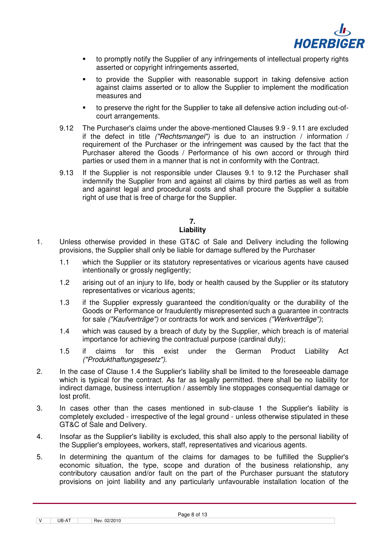

- to promptly notify the Supplier of any infringements of intellectual property rights asserted or copyright infringements asserted,
- to provide the Supplier with reasonable support in taking defensive action against claims asserted or to allow the Supplier to implement the modification measures and
- to preserve the right for the Supplier to take all defensive action including out-ofcourt arrangements.
- 9.12 The Purchaser's claims under the above-mentioned Clauses 9.9 9.11 are excluded if the defect in title ("Rechtsmangel") is due to an instruction / information / requirement of the Purchaser or the infringement was caused by the fact that the Purchaser altered the Goods / Performance of his own accord or through third parties or used them in a manner that is not in conformity with the Contract.
- 9.13 If the Supplier is not responsible under Clauses 9.1 to 9.12 the Purchaser shall indemnify the Supplier from and against all claims by third parties as well as from and against legal and procedural costs and shall procure the Supplier a suitable right of use that is free of charge for the Supplier.

# **7.**

# **Liability**

- 1. Unless otherwise provided in these GT&C of Sale and Delivery including the following provisions, the Supplier shall only be liable for damage suffered by the Purchaser
	- 1.1 which the Supplier or its statutory representatives or vicarious agents have caused intentionally or grossly negligently;
	- 1.2 arising out of an injury to life, body or health caused by the Supplier or its statutory representatives or vicarious agents;
	- 1.3 if the Supplier expressly guaranteed the condition/quality or the durability of the Goods or Performance or fraudulently misrepresented such a guarantee in contracts for sale ("Kaufverträge") or contracts for work and services ("Werkverträge");
	- 1.4 which was caused by a breach of duty by the Supplier, which breach is of material importance for achieving the contractual purpose (cardinal duty);
	- 1.5 if claims for this exist under the German Product Liability Act ("Produkthaftungsgesetz").
- 2. In the case of Clause 1.4 the Supplier's liability shall be limited to the foreseeable damage which is typical for the contract. As far as legally permitted, there shall be no liability for indirect damage, business interruption / assembly line stoppages consequential damage or lost profit.
- 3. In cases other than the cases mentioned in sub-clause 1 the Supplier's liability is completely excluded - irrespective of the legal ground - unless otherwise stipulated in these GT&C of Sale and Delivery.
- 4. Insofar as the Supplier's liability is excluded, this shall also apply to the personal liability of the Supplier's employees, workers, staff, representatives and vicarious agents.
- 5. In determining the quantum of the claims for damages to be fulfilled the Supplier's economic situation, the type, scope and duration of the business relationship, any contributory causation and/or fault on the part of the Purchaser pursuant the statutory provisions on joint liability and any particularly unfavourable installation location of the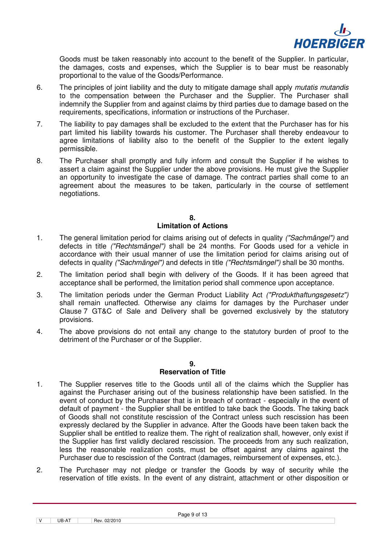

Goods must be taken reasonably into account to the benefit of the Supplier. In particular, the damages, costs and expenses, which the Supplier is to bear must be reasonably proportional to the value of the Goods/Performance.

- 6. The principles of joint liability and the duty to mitigate damage shall apply *mutatis mutandis* to the compensation between the Purchaser and the Supplier. The Purchaser shall indemnify the Supplier from and against claims by third parties due to damage based on the requirements, specifications, information or instructions of the Purchaser.
- 7. The liability to pay damages shall be excluded to the extent that the Purchaser has for his part limited his liability towards his customer. The Purchaser shall thereby endeavour to agree limitations of liability also to the benefit of the Supplier to the extent legally permissible.
- 8. The Purchaser shall promptly and fully inform and consult the Supplier if he wishes to assert a claim against the Supplier under the above provisions. He must give the Supplier an opportunity to investigate the case of damage. The contract parties shall come to an agreement about the measures to be taken, particularly in the course of settlement negotiations.

#### **8.**

#### **Limitation of Actions**

- 1. The general limitation period for claims arising out of defects in quality ("Sachmängel") and defects in title ("Rechtsmängel") shall be 24 months. For Goods used for a vehicle in accordance with their usual manner of use the limitation period for claims arising out of defects in quality ("Sachmängel") and defects in title ("Rechtsmängel") shall be 30 months.
- 2. The limitation period shall begin with delivery of the Goods. If it has been agreed that acceptance shall be performed, the limitation period shall commence upon acceptance.
- 3. The limitation periods under the German Product Liability Act ("Produkthaftungsgesetz") shall remain unaffected. Otherwise any claims for damages by the Purchaser under Clause 7 GT&C of Sale and Delivery shall be governed exclusively by the statutory provisions.
- 4. The above provisions do not entail any change to the statutory burden of proof to the detriment of the Purchaser or of the Supplier.

#### **9.**

## **Reservation of Title**

- 1. The Supplier reserves title to the Goods until all of the claims which the Supplier has against the Purchaser arising out of the business relationship have been satisfied. In the event of conduct by the Purchaser that is in breach of contract - especially in the event of default of payment - the Supplier shall be entitled to take back the Goods. The taking back of Goods shall not constitute rescission of the Contract unless such rescission has been expressly declared by the Supplier in advance. After the Goods have been taken back the Supplier shall be entitled to realize them. The right of realization shall, however, only exist if the Supplier has first validly declared rescission. The proceeds from any such realization, less the reasonable realization costs, must be offset against any claims against the Purchaser due to rescission of the Contract (damages, reimbursement of expenses, etc.).
- 2. The Purchaser may not pledge or transfer the Goods by way of security while the reservation of title exists. In the event of any distraint, attachment or other disposition or

 $\boxed{V}$  UB-AT  $\boxed{$  Rev. 02/2010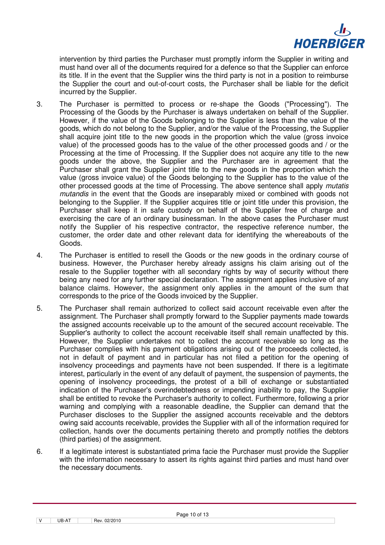

intervention by third parties the Purchaser must promptly inform the Supplier in writing and must hand over all of the documents required for a defence so that the Supplier can enforce its title. If in the event that the Supplier wins the third party is not in a position to reimburse the Supplier the court and out-of-court costs, the Purchaser shall be liable for the deficit incurred by the Supplier.

- 3. The Purchaser is permitted to process or re-shape the Goods ("Processing"). The Processing of the Goods by the Purchaser is always undertaken on behalf of the Supplier. However, if the value of the Goods belonging to the Supplier is less than the value of the goods, which do not belong to the Supplier, and/or the value of the Processing, the Supplier shall acquire joint title to the new goods in the proportion which the value (gross invoice value) of the processed goods has to the value of the other processed goods and / or the Processing at the time of Processing. If the Supplier does not acquire any title to the new goods under the above, the Supplier and the Purchaser are in agreement that the Purchaser shall grant the Supplier joint title to the new goods in the proportion which the value (gross invoice value) of the Goods belonging to the Supplier has to the value of the other processed goods at the time of Processing. The above sentence shall apply *mutatis* mutandis in the event that the Goods are inseparably mixed or combined with goods not belonging to the Supplier. If the Supplier acquires title or joint title under this provision, the Purchaser shall keep it in safe custody on behalf of the Supplier free of charge and exercising the care of an ordinary businessman. In the above cases the Purchaser must notify the Supplier of his respective contractor, the respective reference number, the customer, the order date and other relevant data for identifying the whereabouts of the Goods.
- 4. The Purchaser is entitled to resell the Goods or the new goods in the ordinary course of business. However, the Purchaser hereby already assigns his claim arising out of the resale to the Supplier together with all secondary rights by way of security without there being any need for any further special declaration. The assignment applies inclusive of any balance claims. However, the assignment only applies in the amount of the sum that corresponds to the price of the Goods invoiced by the Supplier.
- 5. The Purchaser shall remain authorized to collect said account receivable even after the assignment. The Purchaser shall promptly forward to the Supplier payments made towards the assigned accounts receivable up to the amount of the secured account receivable. The Supplier's authority to collect the account receivable itself shall remain unaffected by this. However, the Supplier undertakes not to collect the account receivable so long as the Purchaser complies with his payment obligations arising out of the proceeds collected, is not in default of payment and in particular has not filed a petition for the opening of insolvency proceedings and payments have not been suspended. If there is a legitimate interest, particularly in the event of any default of payment, the suspension of payments, the opening of insolvency proceedings, the protest of a bill of exchange or substantiated indication of the Purchaser's overindebtedness or impending inability to pay, the Supplier shall be entitled to revoke the Purchaser's authority to collect. Furthermore, following a prior warning and complying with a reasonable deadline, the Supplier can demand that the Purchaser discloses to the Supplier the assigned accounts receivable and the debtors owing said accounts receivable, provides the Supplier with all of the information required for collection, hands over the documents pertaining thereto and promptly notifies the debtors (third parties) of the assignment.
- 6. If a legitimate interest is substantiated prima facie the Purchaser must provide the Supplier with the information necessary to assert its rights against third parties and must hand over the necessary documents.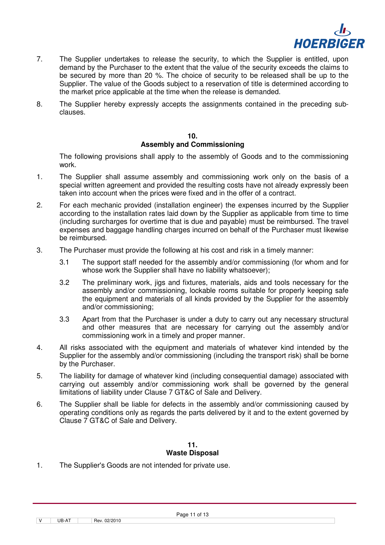

- 7. The Supplier undertakes to release the security, to which the Supplier is entitled, upon demand by the Purchaser to the extent that the value of the security exceeds the claims to be secured by more than 20 %. The choice of security to be released shall be up to the Supplier. The value of the Goods subject to a reservation of title is determined according to the market price applicable at the time when the release is demanded.
- 8. The Supplier hereby expressly accepts the assignments contained in the preceding subclauses.

#### **10. Assembly and Commissioning**

 The following provisions shall apply to the assembly of Goods and to the commissioning work.

- 1. The Supplier shall assume assembly and commissioning work only on the basis of a special written agreement and provided the resulting costs have not already expressly been taken into account when the prices were fixed and in the offer of a contract.
- 2. For each mechanic provided (installation engineer) the expenses incurred by the Supplier according to the installation rates laid down by the Supplier as applicable from time to time (including surcharges for overtime that is due and payable) must be reimbursed. The travel expenses and baggage handling charges incurred on behalf of the Purchaser must likewise be reimbursed.
- 3. The Purchaser must provide the following at his cost and risk in a timely manner:
	- 3.1 The support staff needed for the assembly and/or commissioning (for whom and for whose work the Supplier shall have no liability whatsoever);
	- 3.2 The preliminary work, jigs and fixtures, materials, aids and tools necessary for the assembly and/or commissioning, lockable rooms suitable for properly keeping safe the equipment and materials of all kinds provided by the Supplier for the assembly and/or commissioning;
	- 3.3 Apart from that the Purchaser is under a duty to carry out any necessary structural and other measures that are necessary for carrying out the assembly and/or commissioning work in a timely and proper manner.
- 4. All risks associated with the equipment and materials of whatever kind intended by the Supplier for the assembly and/or commissioning (including the transport risk) shall be borne by the Purchaser.
- 5. The liability for damage of whatever kind (including consequential damage) associated with carrying out assembly and/or commissioning work shall be governed by the general limitations of liability under Clause 7 GT&C of Sale and Delivery.
- 6. The Supplier shall be liable for defects in the assembly and/or commissioning caused by operating conditions only as regards the parts delivered by it and to the extent governed by Clause 7 GT&C of Sale and Delivery.

# **11. Waste Disposal**

1. The Supplier's Goods are not intended for private use.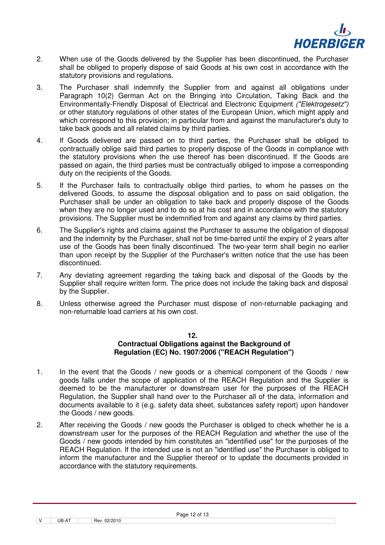

- 2. When use of the Goods delivered by the Supplier has been discontinued, the Purchaser shall be obliged to properly dispose of said Goods at his own cost in accordance with the statutory provisions and regulations.
- 3. The Purchaser shall indemnify the Supplier from and against all obligations under Paragraph 10(2) German Act on the Bringing into Circulation, Taking Back and the Environmentally-Friendly Disposal of Electrical and Electronic Equipment ("Elektrogesetz") or other statutory regulations of other states of the European Union, which might apply and which correspond to this provision; in particular from and against the manufacturer's duty to take back goods and all related claims by third parties.
- 4. If Goods delivered are passed on to third parties, the Purchaser shall be obliged to contractually oblige said third parties to properly dispose of the Goods in compliance with the statutory provisions when the use thereof has been discontinued. If the Goods are passed on again, the third parties must be contractually obliged to impose a corresponding duty on the recipients of the Goods.
- 5. If the Purchaser fails to contractually oblige third parties, to whom he passes on the delivered Goods, to assume the disposal obligation and to pass on said obligation, the Purchaser shall be under an obligation to take back and properly dispose of the Goods when they are no longer used and to do so at his cost and in accordance with the statutory provisions. The Supplier must be indemnified from and against any claims by third parties.
- 6. The Supplier's rights and claims against the Purchaser to assume the obligation of disposal and the indemnity by the Purchaser, shall not be time-barred until the expiry of 2 years after use of the Goods has been finally discontinued. The two-year term shall begin no earlier than upon receipt by the Supplier of the Purchaser's written notice that the use has been discontinued.
- 7. Any deviating agreement regarding the taking back and disposal of the Goods by the Supplier shall require written form. The price does not include the taking back and disposal by the Supplier.
- 8. Unless otherwise agreed the Purchaser must dispose of non-returnable packaging and non-returnable load carriers at his own cost.

#### **12.**

## **Contractual Obligations against the Background of Regulation (EC) No. 1907/2006 ("REACH Regulation")**

- 1. In the event that the Goods / new goods or a chemical component of the Goods / new goods falls under the scope of application of the REACH Regulation and the Supplier is deemed to be the manufacturer or downstream user for the purposes of the REACH Regulation, the Supplier shall hand over to the Purchaser all of the data, information and documents available to it (e.g. safety data sheet, substances safety report) upon handover the Goods / new goods.
- 2. After receiving the Goods / new goods the Purchaser is obliged to check whether he is a downstream user for the purposes of the REACH Regulation and whether the use of the Goods / new goods intended by him constitutes an "identified use" for the purposes of the REACH Regulation. If the intended use is not an "identified use" the Purchaser is obliged to inform the manufacturer and the Supplier thereof or to update the documents provided in accordance with the statutory requirements.